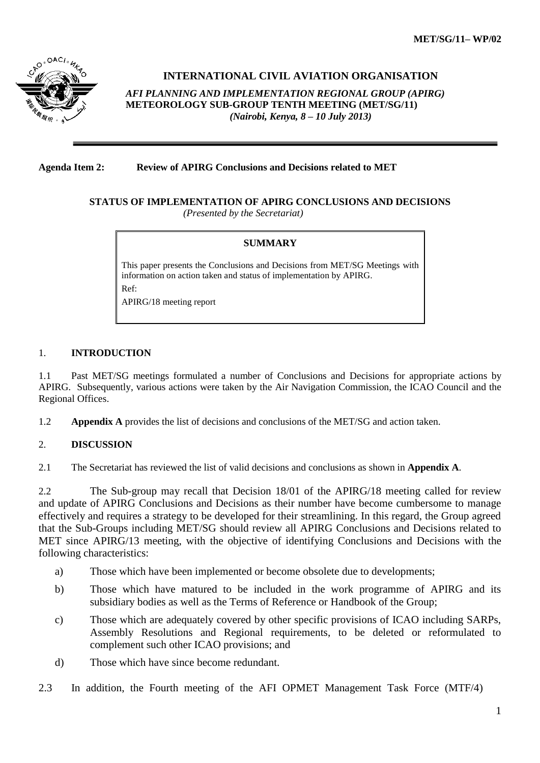

### **INTERNATIONAL CIVIL AVIATION ORGANISATION**

*AFI PLANNING AND IMPLEMENTATION REGIONAL GROUP (APIRG)* **METEOROLOGY SUB-GROUP TENTH MEETING (MET/SG/11)**  *(Nairobi, Kenya, 8 – 10 July 2013)*

#### **Agenda Item 2: Review of APIRG Conclusions and Decisions related to MET**

#### **STATUS OF IMPLEMENTATION OF APIRG CONCLUSIONS AND DECISIONS** *(Presented by the Secretariat)*

#### **SUMMARY**

This paper presents the Conclusions and Decisions from MET/SG Meetings with information on action taken and status of implementation by APIRG. Ref: APIRG/18 meeting report

#### 1. **INTRODUCTION**

1.1 Past MET/SG meetings formulated a number of Conclusions and Decisions for appropriate actions by APIRG. Subsequently, various actions were taken by the Air Navigation Commission, the ICAO Council and the Regional Offices.

1.2 **Appendix A** provides the list of decisions and conclusions of the MET/SG and action taken.

#### 2. **DISCUSSION**

2.1 The Secretariat has reviewed the list of valid decisions and conclusions as shown in **Appendix A**.

2.2 The Sub-group may recall that Decision 18/01 of the APIRG/18 meeting called for review and update of APIRG Conclusions and Decisions as their number have become cumbersome to manage effectively and requires a strategy to be developed for their streamlining. In this regard, the Group agreed that the Sub-Groups including MET/SG should review all APIRG Conclusions and Decisions related to MET since APIRG/13 meeting, with the objective of identifying Conclusions and Decisions with the following characteristics:

- a) Those which have been implemented or become obsolete due to developments;
- b) Those which have matured to be included in the work programme of APIRG and its subsidiary bodies as well as the Terms of Reference or Handbook of the Group;
- c) Those which are adequately covered by other specific provisions of ICAO including SARPs, Assembly Resolutions and Regional requirements, to be deleted or reformulated to complement such other ICAO provisions; and
- d) Those which have since become redundant.
- 2.3 In addition, the Fourth meeting of the AFI OPMET Management Task Force (MTF/4)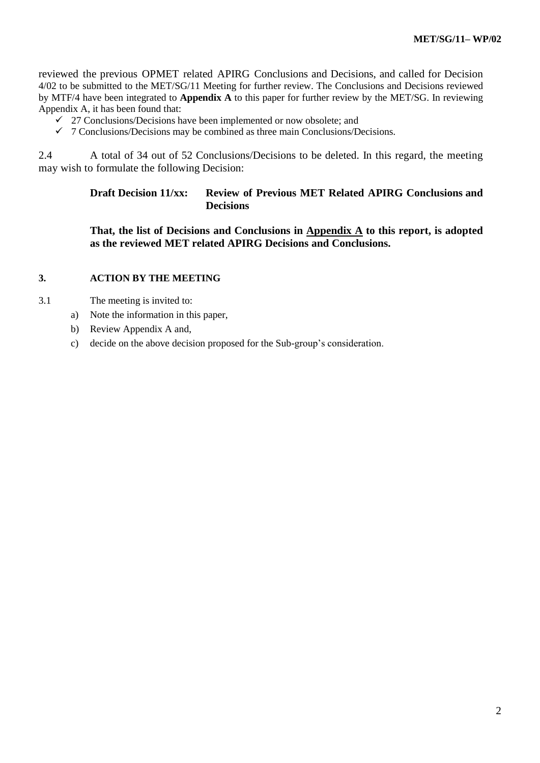reviewed the previous OPMET related APIRG Conclusions and Decisions, and called for Decision 4/02 to be submitted to the MET/SG/11 Meeting for further review. The Conclusions and Decisions reviewed by MTF/4 have been integrated to **Appendix A** to this paper for further review by the MET/SG. In reviewing Appendix A, it has been found that:

- $\checkmark$  27 Conclusions/Decisions have been implemented or now obsolete; and
- $\checkmark$  7 Conclusions/Decisions may be combined as three main Conclusions/Decisions.

2.4 A total of 34 out of 52 Conclusions/Decisions to be deleted. In this regard, the meeting may wish to formulate the following Decision:

## **Draft Decision 11/xx: Review of Previous MET Related APIRG Conclusions and Decisions**

**That, the list of Decisions and Conclusions in Appendix A to this report, is adopted as the reviewed MET related APIRG Decisions and Conclusions.**

### **3. ACTION BY THE MEETING**

- 3.1 The meeting is invited to:
	- a) Note the information in this paper,
	- b) Review Appendix A and,
	- c) decide on the above decision proposed for the Sub-group's consideration.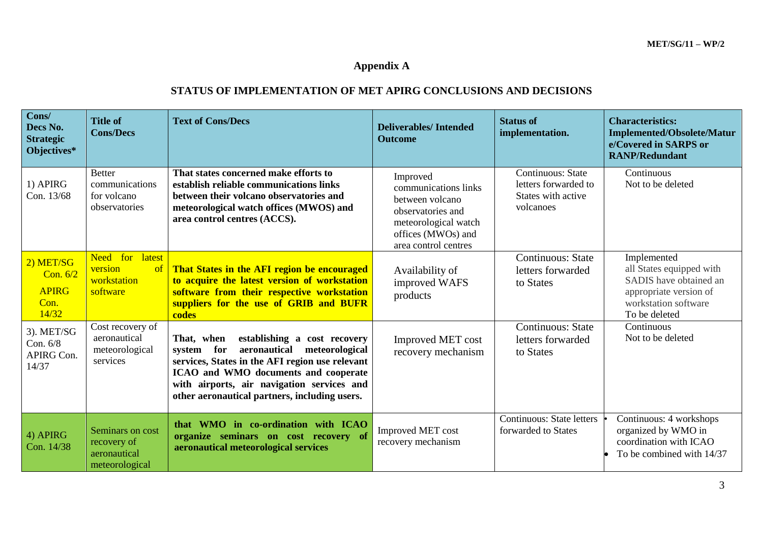# **Appendix A**

## **STATUS OF IMPLEMENTATION OF MET APIRG CONCLUSIONS AND DECISIONS**

| Cons/<br>Decs No.<br><b>Strategic</b><br>Objectives*        | <b>Title of</b><br><b>Cons/Decs</b>                               | <b>Text of Cons/Decs</b>                                                                                                                                                                                                                                                          | <b>Deliverables/Intended</b><br><b>Outcome</b>                                                                                                 | <b>Status of</b><br>implementation.                                          | <b>Characteristics:</b><br><b>Implemented/Obsolete/Matur</b><br>e/Covered in SARPS or<br><b>RANP/Redundant</b>                       |
|-------------------------------------------------------------|-------------------------------------------------------------------|-----------------------------------------------------------------------------------------------------------------------------------------------------------------------------------------------------------------------------------------------------------------------------------|------------------------------------------------------------------------------------------------------------------------------------------------|------------------------------------------------------------------------------|--------------------------------------------------------------------------------------------------------------------------------------|
| 1) APIRG<br>Con. 13/68                                      | <b>Better</b><br>communications<br>for volcano<br>observatories   | That states concerned make efforts to<br>establish reliable communications links<br>between their volcano observatories and<br>meteorological watch offices (MWOS) and<br>area control centres (ACCS).                                                                            | Improved<br>communications links<br>between volcano<br>observatories and<br>meteorological watch<br>offices (MWOs) and<br>area control centres | Continuous: State<br>letters forwarded to<br>States with active<br>volcanoes | Continuous<br>Not to be deleted                                                                                                      |
| $(2)$ MET/SG<br>Con. $6/2$<br><b>APIRG</b><br>Con.<br>14/32 | Need for latest<br>version<br>of<br>workstation<br>software       | That States in the AFI region be encouraged<br>to acquire the latest version of workstation<br>software from their respective workstation<br>suppliers for the use of GRIB and BUFR<br>codes                                                                                      | Availability of<br>improved WAFS<br>products                                                                                                   | <b>Continuous: State</b><br>letters forwarded<br>to States                   | Implemented<br>all States equipped with<br>SADIS have obtained an<br>appropriate version of<br>workstation software<br>To be deleted |
| 3). MET/SG<br>Con. 6/8<br>APIRG Con.<br>14/37               | Cost recovery of<br>aeronautical<br>meteorological<br>services    | That, when<br>establishing a cost recovery<br>aeronautical meteorological<br>system for<br>services, States in the AFI region use relevant<br>ICAO and WMO documents and cooperate<br>with airports, air navigation services and<br>other aeronautical partners, including users. | Improved MET cost<br>recovery mechanism                                                                                                        | <b>Continuous: State</b><br>letters forwarded<br>to States                   | Continuous<br>Not to be deleted                                                                                                      |
| $(4)$ APIRG<br>Con. 14/38                                   | Seminars on cost<br>recovery of<br>aeronautical<br>meteorological | that WMO in co-ordination with ICAO<br>organize seminars on cost recovery of<br>aeronautical meteorological services                                                                                                                                                              | <b>Improved MET cost</b><br>recovery mechanism                                                                                                 | <b>Continuous: State letters</b><br>forwarded to States                      | Continuous: 4 workshops<br>organized by WMO in<br>coordination with ICAO<br>To be combined with 14/37                                |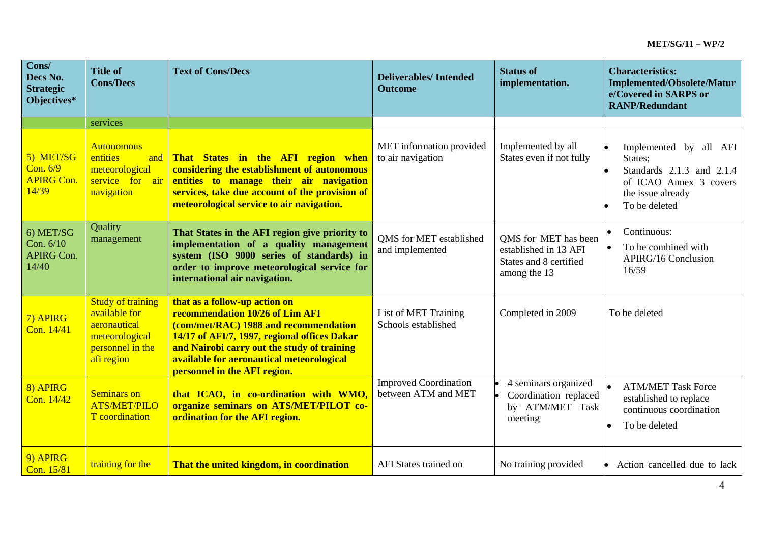| Cons/<br>Decs No.<br><b>Strategic</b><br>Objectives* | <b>Title of</b><br><b>Cons/Decs</b>                                                                           | <b>Text of Cons/Decs</b>                                                                                                                                                                                                                                                              | <b>Deliverables/Intended</b><br><b>Outcome</b>      | <b>Status of</b><br>implementation.                                                     | <b>Characteristics:</b><br><b>Implemented/Obsolete/Matur</b><br>e/Covered in SARPS or<br><b>RANP/Redundant</b>                 |
|------------------------------------------------------|---------------------------------------------------------------------------------------------------------------|---------------------------------------------------------------------------------------------------------------------------------------------------------------------------------------------------------------------------------------------------------------------------------------|-----------------------------------------------------|-----------------------------------------------------------------------------------------|--------------------------------------------------------------------------------------------------------------------------------|
|                                                      | services                                                                                                      |                                                                                                                                                                                                                                                                                       |                                                     |                                                                                         |                                                                                                                                |
| 5) MET/SG<br>Con. 6/9<br><b>APIRG Con.</b><br>14/39  | <b>Autonomous</b><br>entities<br>and<br>meteorological<br>service for air<br>navigation                       | That States in the AFI region when<br>considering the establishment of autonomous<br>entities to manage their air navigation<br>services, take due account of the provision of<br>meteorological service to air navigation.                                                           | MET information provided<br>to air navigation       | Implemented by all<br>States even if not fully                                          | Implemented by all AFI<br>States;<br>Standards 2.1.3 and 2.1.4<br>of ICAO Annex 3 covers<br>the issue already<br>To be deleted |
| 6) MET/SG<br>Con. 6/10<br><b>APIRG Con.</b><br>14/40 | Quality<br>management                                                                                         | That States in the AFI region give priority to<br>implementation of a quality management<br>system (ISO 9000 series of standards) in<br>order to improve meteorological service for<br>international air navigation.                                                                  | <b>QMS</b> for MET established<br>and implemented   | QMS for MET has been<br>established in 13 AFI<br>States and 8 certified<br>among the 13 | Continuous:<br>To be combined with<br><b>APIRG/16 Conclusion</b><br>16/59                                                      |
| 7) APIRG<br>Con. 14/41                               | <b>Study of training</b><br>available for<br>aeronautical<br>meteorological<br>personnel in the<br>afi region | that as a follow-up action on<br>recommendation 10/26 of Lim AFI<br>(com/met/RAC) 1988 and recommendation<br>14/17 of AFI/7, 1997, regional offices Dakar<br>and Nairobi carry out the study of training<br>available for aeronautical meteorological<br>personnel in the AFI region. | List of MET Training<br>Schools established         | Completed in 2009                                                                       | To be deleted                                                                                                                  |
| 8) APIRG<br>Con. 14/42                               | <b>Seminars on</b><br><b>ATS/MET/PILO</b><br>T coordination                                                   | that ICAO, in co-ordination with WMO,<br>organize seminars on ATS/MET/PILOT co-<br>ordination for the AFI region.                                                                                                                                                                     | <b>Improved Coordination</b><br>between ATM and MET | 4 seminars organized<br>Coordination replaced<br>by ATM/MET Task<br>meeting             | $\bullet$<br><b>ATM/MET Task Force</b><br>established to replace<br>continuous coordination<br>To be deleted<br>$\bullet$      |
| 9) APIRG<br>Con. 15/81                               | training for the                                                                                              | That the united kingdom, in coordination                                                                                                                                                                                                                                              | AFI States trained on                               | No training provided                                                                    | Action cancelled due to lack                                                                                                   |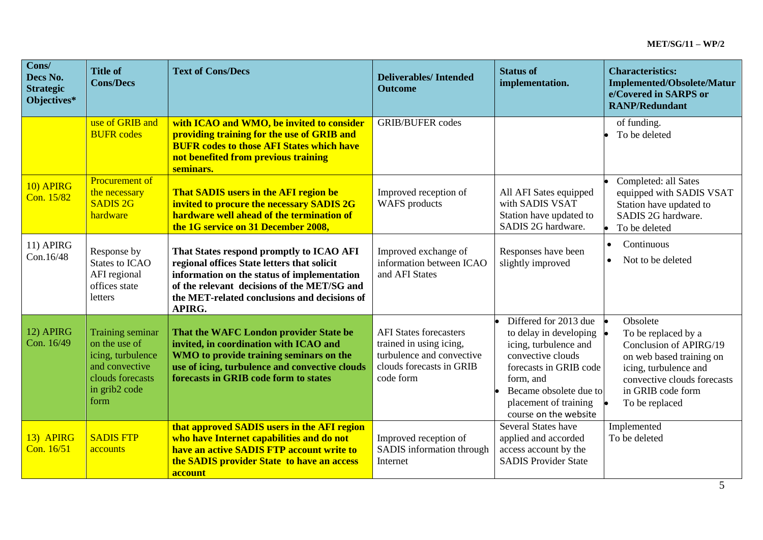| Cons/<br>Decs No.<br><b>Strategic</b><br>Objectives* | <b>Title of</b><br><b>Cons/Decs</b>                                                                                   | <b>Text of Cons/Decs</b>                                                                                                                                                                                                                        | <b>Deliverables/Intended</b><br><b>Outcome</b>                                                                                 | <b>Status of</b><br>implementation.                                                                                                                                                                              | <b>Characteristics:</b><br><b>Implemented/Obsolete/Matur</b><br>e/Covered in SARPS or<br><b>RANP/Redundant</b>                                                                       |
|------------------------------------------------------|-----------------------------------------------------------------------------------------------------------------------|-------------------------------------------------------------------------------------------------------------------------------------------------------------------------------------------------------------------------------------------------|--------------------------------------------------------------------------------------------------------------------------------|------------------------------------------------------------------------------------------------------------------------------------------------------------------------------------------------------------------|--------------------------------------------------------------------------------------------------------------------------------------------------------------------------------------|
|                                                      | use of GRIB and<br><b>BUFR</b> codes                                                                                  | with ICAO and WMO, be invited to consider<br>providing training for the use of GRIB and<br><b>BUFR codes to those AFI States which have</b><br>not benefited from previous training<br>seminars.                                                | <b>GRIB/BUFER</b> codes                                                                                                        |                                                                                                                                                                                                                  | of funding.<br>To be deleted                                                                                                                                                         |
| 10) APIRG<br>Con. 15/82                              | <b>Procurement of</b><br>the necessary<br><b>SADIS 2G</b><br>hardware                                                 | That SADIS users in the AFI region be<br>invited to procure the necessary SADIS 2G<br>hardware well ahead of the termination of<br>the 1G service on 31 December 2008,                                                                          | Improved reception of<br>WAFS products                                                                                         | All AFI Sates equipped<br>with SADIS VSAT<br>Station have updated to<br>SADIS 2G hardware.                                                                                                                       | Completed: all Sates<br>equipped with SADIS VSAT<br>Station have updated to<br>SADIS 2G hardware.<br>To be deleted                                                                   |
| 11) APIRG<br>Con.16/48                               | Response by<br><b>States to ICAO</b><br>AFI regional<br>offices state<br>letters                                      | That States respond promptly to ICAO AFI<br>regional offices State letters that solicit<br>information on the status of implementation<br>of the relevant decisions of the MET/SG and<br>the MET-related conclusions and decisions of<br>APIRG. | Improved exchange of<br>information between ICAO<br>and AFI States                                                             | Responses have been<br>slightly improved                                                                                                                                                                         | Continuous<br>$\bullet$<br>Not to be deleted                                                                                                                                         |
| 12) APIRG<br>Con. 16/49                              | Training seminar<br>on the use of<br>icing, turbulence<br>and convective<br>clouds forecasts<br>in grib2 code<br>form | That the WAFC London provider State be<br>invited, in coordination with ICAO and<br>WMO to provide training seminars on the<br>use of icing, turbulence and convective clouds<br>forecasts in GRIB code form to states                          | <b>AFI States forecasters</b><br>trained in using icing,<br>turbulence and convective<br>clouds forecasts in GRIB<br>code form | Differed for 2013 due<br>to delay in developing<br>icing, turbulence and<br>convective clouds<br>forecasts in GRIB code<br>form, and<br>Became obsolete due to<br>placement of training<br>course on the website | Obsolete<br>To be replaced by a<br>Conclusion of APIRG/19<br>on web based training on<br>icing, turbulence and<br>convective clouds forecasts<br>in GRIB code form<br>To be replaced |
| 13) APIRG<br>Con. 16/51                              | <b>SADIS FTP</b><br>accounts                                                                                          | that approved SADIS users in the AFI region<br>who have Internet capabilities and do not<br>have an active SADIS FTP account write to<br>the SADIS provider State to have an access<br>account                                                  | Improved reception of<br>SADIS information through<br>Internet                                                                 | Several States have<br>applied and accorded<br>access account by the<br><b>SADIS Provider State</b>                                                                                                              | Implemented<br>To be deleted                                                                                                                                                         |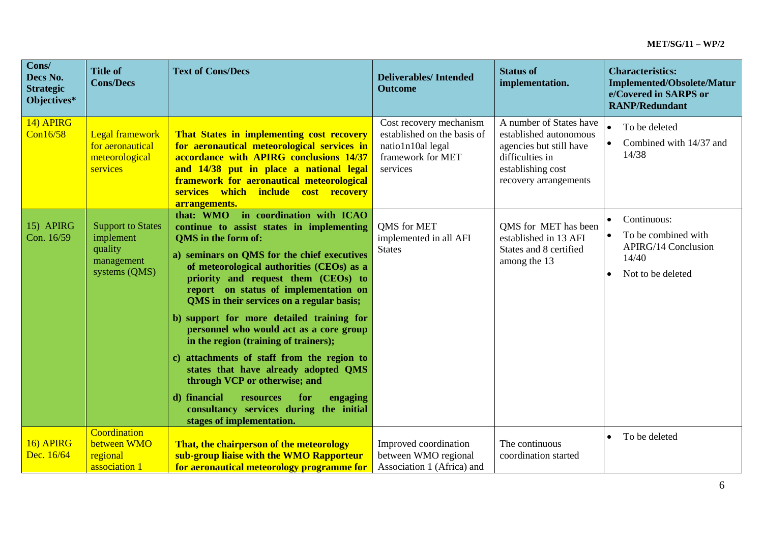| Cons/<br>Decs No.<br><b>Strategic</b><br>Objectives* | <b>Title of</b><br><b>Cons/Decs</b>                                             | <b>Text of Cons/Decs</b>                                                                                                                                                                                                                                                                                                                                                                                                                                                                                                                                                                                                                                                                                                | <b>Deliverables/Intended</b><br><b>Outcome</b>                                                               | <b>Status of</b><br>implementation.                                                                                                           | <b>Characteristics:</b><br><b>Implemented/Obsolete/Matur</b><br>e/Covered in SARPS or<br><b>RANP/Redundant</b> |
|------------------------------------------------------|---------------------------------------------------------------------------------|-------------------------------------------------------------------------------------------------------------------------------------------------------------------------------------------------------------------------------------------------------------------------------------------------------------------------------------------------------------------------------------------------------------------------------------------------------------------------------------------------------------------------------------------------------------------------------------------------------------------------------------------------------------------------------------------------------------------------|--------------------------------------------------------------------------------------------------------------|-----------------------------------------------------------------------------------------------------------------------------------------------|----------------------------------------------------------------------------------------------------------------|
| 14) APIRG<br>Con16/58                                | <b>Legal framework</b><br>for aeronautical<br>meteorological<br>services        | That States in implementing cost recovery<br>for aeronautical meteorological services in<br>accordance with APIRG conclusions 14/37<br>and 14/38 put in place a national legal<br>framework for aeronautical meteorological<br>services which include cost recovery<br>arrangements.                                                                                                                                                                                                                                                                                                                                                                                                                                    | Cost recovery mechanism<br>established on the basis of<br>natio1n10al legal<br>framework for MET<br>services | A number of States have<br>established autonomous<br>agencies but still have<br>difficulties in<br>establishing cost<br>recovery arrangements | To be deleted<br>Combined with 14/37 and<br>14/38                                                              |
| 15) APIRG<br>Con. 16/59                              | <b>Support to States</b><br>implement<br>quality<br>management<br>systems (QMS) | that: WMO in coordination with ICAO<br>continue to assist states in implementing<br><b>OMS</b> in the form of:<br>a) seminars on QMS for the chief executives<br>of meteorological authorities (CEOs) as a<br>priority and request them (CEOs) to<br>report on status of implementation on<br>QMS in their services on a regular basis;<br>b) support for more detailed training for<br>personnel who would act as a core group<br>in the region (training of trainers);<br>c) attachments of staff from the region to<br>states that have already adopted QMS<br>through VCP or otherwise; and<br>d) financial<br>resources<br>for<br>engaging<br>consultancy services during the initial<br>stages of implementation. | QMS for MET<br>implemented in all AFI<br><b>States</b>                                                       | QMS for MET has been<br>established in 13 AFI<br>States and 8 certified<br>among the 13                                                       | Continuous:<br>To be combined with<br><b>APIRG/14 Conclusion</b><br>14/40<br>Not to be deleted                 |
| 16) APIRG<br>Dec. 16/64                              | Coordination<br>between WMO<br>regional<br>association 1                        | That, the chairperson of the meteorology<br>sub-group liaise with the WMO Rapporteur<br>for aeronautical meteorology programme for                                                                                                                                                                                                                                                                                                                                                                                                                                                                                                                                                                                      | Improved coordination<br>between WMO regional<br>Association 1 (Africa) and                                  | The continuous<br>coordination started                                                                                                        | To be deleted                                                                                                  |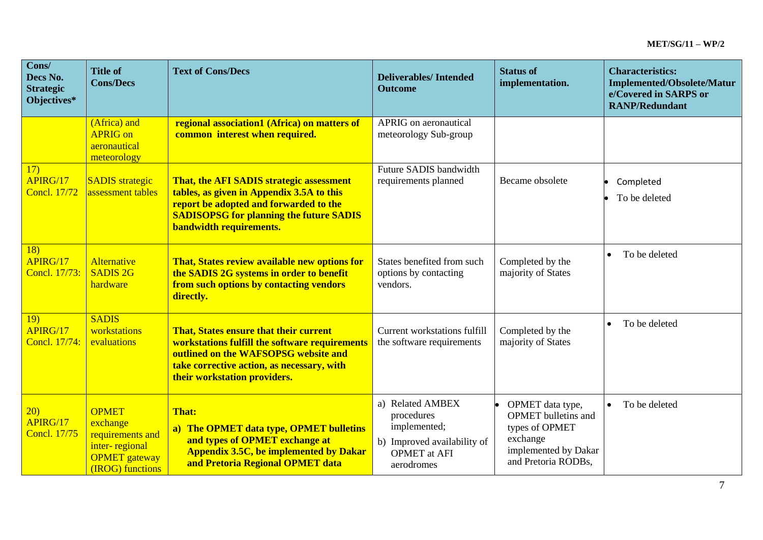| Cons/<br>Decs No.<br><b>Strategic</b><br>Objectives* | <b>Title of</b><br><b>Cons/Decs</b>                                                                        | <b>Text of Cons/Decs</b>                                                                                                                                                                                            | <b>Deliverables/Intended</b><br><b>Outcome</b>                                                                     | <b>Status of</b><br>implementation.                                                                                  | <b>Characteristics:</b><br><b>Implemented/Obsolete/Matur</b><br>e/Covered in SARPS or<br><b>RANP/Redundant</b> |
|------------------------------------------------------|------------------------------------------------------------------------------------------------------------|---------------------------------------------------------------------------------------------------------------------------------------------------------------------------------------------------------------------|--------------------------------------------------------------------------------------------------------------------|----------------------------------------------------------------------------------------------------------------------|----------------------------------------------------------------------------------------------------------------|
|                                                      | (Africa) and<br><b>APRIG</b> on<br>aeronautical<br>meteorology                                             | regional association1 (Africa) on matters of<br>common interest when required.                                                                                                                                      | APRIG on aeronautical<br>meteorology Sub-group                                                                     |                                                                                                                      |                                                                                                                |
| 17)<br>APIRG/17<br><b>Concl.</b> 17/72               | <b>SADIS</b> strategic<br>assessment tables                                                                | That, the AFI SADIS strategic assessment<br>tables, as given in Appendix 3.5A to this<br>report be adopted and forwarded to the<br><b>SADISOPSG for planning the future SADIS</b><br><b>bandwidth requirements.</b> | Future SADIS bandwidth<br>requirements planned                                                                     | Became obsolete                                                                                                      | Completed<br>To be deleted                                                                                     |
| <b>18</b> )<br>APIRG/17<br>Concl. 17/73:             | <b>Alternative</b><br><b>SADIS 2G</b><br>hardware                                                          | That, States review available new options for<br>the SADIS 2G systems in order to benefit<br>from such options by contacting vendors<br>directly.                                                                   | States benefited from such<br>options by contacting<br>vendors.                                                    | Completed by the<br>majority of States                                                                               | To be deleted<br>$\bullet$                                                                                     |
| <b>19</b> )<br>APIRG/17<br>Concl. 17/74:             | <b>SADIS</b><br>workstations<br>evaluations                                                                | That, States ensure that their current<br>workstations fulfill the software requirements<br>outlined on the WAFSOPSG website and<br>take corrective action, as necessary, with<br>their workstation providers.      | <b>Current workstations fulfill</b><br>the software requirements                                                   | Completed by the<br>majority of States                                                                               | To be deleted<br>$\bullet$                                                                                     |
| 20)<br>APIRG/17<br><b>Concl.</b> 17/75               | <b>OPMET</b><br>exchange<br>requirements and<br>inter-regional<br><b>OPMET</b> gateway<br>(IROG) functions | <b>That:</b><br>a) The OPMET data type, OPMET bulletins<br>and types of OPMET exchange at<br><b>Appendix 3.5C, be implemented by Dakar</b><br>and Pretoria Regional OPMET data                                      | a) Related AMBEX<br>procedures<br>implemented;<br>b) Improved availability of<br><b>OPMET</b> at AFI<br>aerodromes | OPMET data type,<br>OPMET bulletins and<br>types of OPMET<br>exchange<br>implemented by Dakar<br>and Pretoria RODBs, | To be deleted<br>$\bullet$                                                                                     |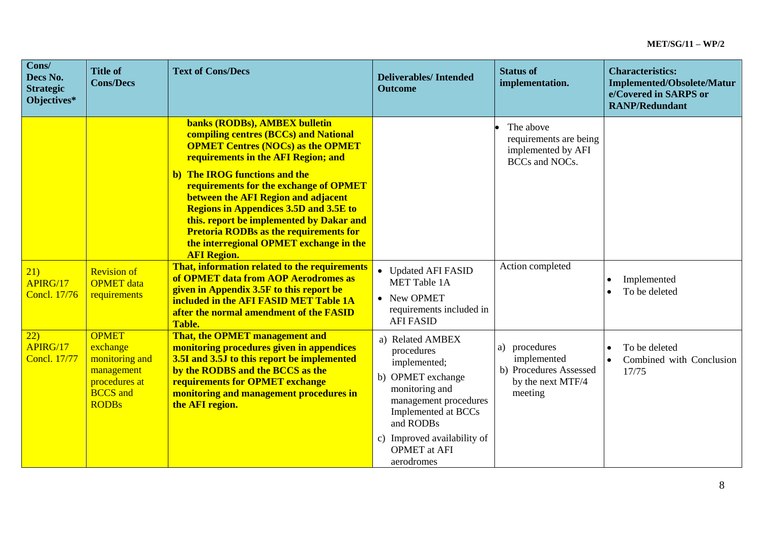| Cons/<br>Decs No.<br><b>Strategic</b><br>Objectives* | <b>Title of</b><br><b>Cons/Decs</b>                                                                          | <b>Text of Cons/Decs</b>                                                                                                                                                                                                                                                                                                                                                                                                                                                                   | <b>Deliverables/Intended</b><br><b>Outcome</b>                                                                                                                                                                         | <b>Status of</b><br>implementation.                                                    | <b>Characteristics:</b><br><b>Implemented/Obsolete/Matur</b><br>e/Covered in SARPS or<br><b>RANP/Redundant</b> |
|------------------------------------------------------|--------------------------------------------------------------------------------------------------------------|--------------------------------------------------------------------------------------------------------------------------------------------------------------------------------------------------------------------------------------------------------------------------------------------------------------------------------------------------------------------------------------------------------------------------------------------------------------------------------------------|------------------------------------------------------------------------------------------------------------------------------------------------------------------------------------------------------------------------|----------------------------------------------------------------------------------------|----------------------------------------------------------------------------------------------------------------|
|                                                      |                                                                                                              | banks (RODBs), AMBEX bulletin<br>compiling centres (BCCs) and National<br><b>OPMET Centres (NOCs) as the OPMET</b><br>requirements in the AFI Region; and<br>b) The IROG functions and the<br>requirements for the exchange of OPMET<br>between the AFI Region and adjacent<br><b>Regions in Appendices 3.5D and 3.5E to</b><br>this. report be implemented by Dakar and<br><b>Pretoria RODBs as the requirements for</b><br>the interregional OPMET exchange in the<br><b>AFI Region.</b> |                                                                                                                                                                                                                        | The above<br>requirements are being<br>implemented by AFI<br><b>BCCs</b> and NOCs.     |                                                                                                                |
| 21)<br>APIRG/17<br><b>Concl.</b> 17/76               | <b>Revision of</b><br><b>OPMET</b> data<br>requirements                                                      | That, information related to the requirements<br>of OPMET data from AOP Aerodromes as<br>given in Appendix 3.5F to this report be<br>included in the AFI FASID MET Table 1A<br>after the normal amendment of the FASID<br><b>Table.</b>                                                                                                                                                                                                                                                    | • Updated AFI FASID<br><b>MET Table 1A</b><br>• New OPMET<br>requirements included in<br><b>AFI FASID</b>                                                                                                              | Action completed                                                                       | Implemented<br>To be deleted                                                                                   |
| 22)<br>APIRG/17<br><b>Concl. 17/77</b>               | <b>OPMET</b><br>exchange<br>monitoring and<br>management<br>procedures at<br><b>BCCS</b> and<br><b>RODBs</b> | That, the OPMET management and<br>monitoring procedures given in appendices<br>3.5I and 3.5J to this report be implemented<br>by the RODBS and the BCCS as the<br>requirements for OPMET exchange<br>monitoring and management procedures in<br>the AFI region.                                                                                                                                                                                                                            | a) Related AMBEX<br>procedures<br>implemented;<br>b) OPMET exchange<br>monitoring and<br>management procedures<br>Implemented at BCCs<br>and RODBs<br>c) Improved availability of<br><b>OPMET</b> at AFI<br>aerodromes | a) procedures<br>implemented<br>b) Procedures Assessed<br>by the next MTF/4<br>meeting | To be deleted<br>$\bullet$<br>Combined with Conclusion<br>17/75                                                |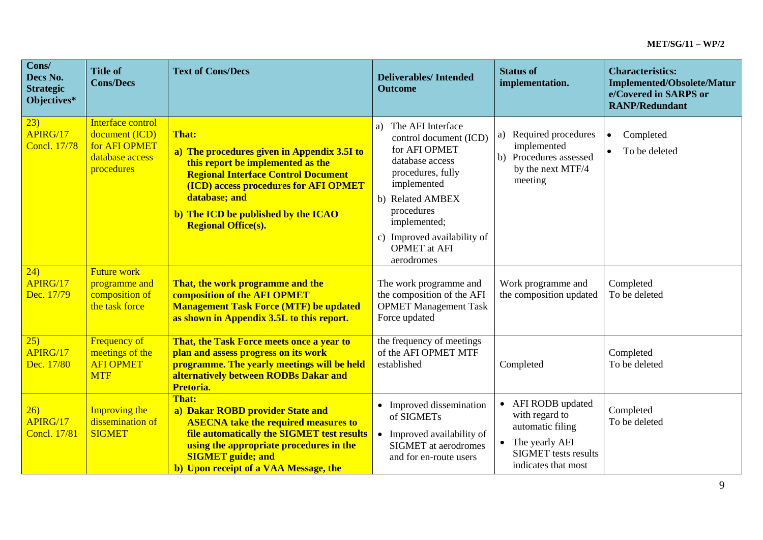| Cons/<br>Decs No.<br><b>Strategic</b><br>Objectives* | <b>Title of</b><br><b>Cons/Decs</b>                                                   | <b>Text of Cons/Decs</b>                                                                                                                                                                                                                                                             | <b>Deliverables/Intended</b><br><b>Outcome</b>                                                                                                                                                                                                  | <b>Status of</b><br>implementation.                                                                                              | <b>Characteristics:</b><br><b>Implemented/Obsolete/Matur</b><br>e/Covered in SARPS or<br><b>RANP/Redundant</b> |
|------------------------------------------------------|---------------------------------------------------------------------------------------|--------------------------------------------------------------------------------------------------------------------------------------------------------------------------------------------------------------------------------------------------------------------------------------|-------------------------------------------------------------------------------------------------------------------------------------------------------------------------------------------------------------------------------------------------|----------------------------------------------------------------------------------------------------------------------------------|----------------------------------------------------------------------------------------------------------------|
| 23)<br>APIRG/17<br><b>Concl. 17/78</b>               | Interface control<br>document (ICD)<br>for AFI OPMET<br>database access<br>procedures | <b>That:</b><br>a) The procedures given in Appendix 3.5I to<br>this report be implemented as the<br><b>Regional Interface Control Document</b><br><b>(ICD) access procedures for AFI OPMET</b><br>database; and<br>b) The ICD be published by the ICAO<br><b>Regional Office(s).</b> | The AFI Interface<br>a)<br>control document (ICD)<br>for AFI OPMET<br>database access<br>procedures, fully<br>implemented<br>b) Related AMBEX<br>procedures<br>implemented;<br>c) Improved availability of<br><b>OPMET</b> at AFI<br>aerodromes | Required procedures<br>a)<br>implemented<br>b) Procedures assessed<br>by the next MTF/4<br>meeting                               | Completed<br>$\bullet$<br>To be deleted                                                                        |
| 24)<br>APIRG/17<br>Dec. 17/79                        | <b>Future work</b><br>programme and<br>composition of<br>the task force               | That, the work programme and the<br>composition of the AFI OPMET<br><b>Management Task Force (MTF) be updated</b><br>as shown in Appendix 3.5L to this report.                                                                                                                       | The work programme and<br>the composition of the AFI<br><b>OPMET Management Task</b><br>Force updated                                                                                                                                           | Work programme and<br>the composition updated                                                                                    | Completed<br>To be deleted                                                                                     |
| 25)<br>APIRG/17<br>Dec. 17/80                        | <b>Frequency of</b><br>meetings of the<br><b>AFI OPMET</b><br><b>MTF</b>              | That, the Task Force meets once a year to<br>plan and assess progress on its work<br>programme. The yearly meetings will be held<br>alternatively between RODBs Dakar and<br>Pretoria.                                                                                               | the frequency of meetings<br>of the AFI OPMET MTF<br>established                                                                                                                                                                                | Completed                                                                                                                        | Completed<br>To be deleted                                                                                     |
| 26)<br>APIRG/17<br><b>Concl. 17/81</b>               | <b>Improving the</b><br>dissemination of<br><b>SIGMET</b>                             | <b>That:</b><br>a) Dakar ROBD provider State and<br><b>ASECNA take the required measures to</b><br>file automatically the SIGMET test results<br>using the appropriate procedures in the<br><b>SIGMET</b> guide; and<br>b) Upon receipt of a VAA Message, the                        | • Improved dissemination<br>of SIGMETs<br>• Improved availability of<br><b>SIGMET</b> at aerodromes<br>and for en-route users                                                                                                                   | • AFI RODB updated<br>with regard to<br>automatic filing<br>The yearly AFI<br><b>SIGMET</b> tests results<br>indicates that most | Completed<br>To be deleted                                                                                     |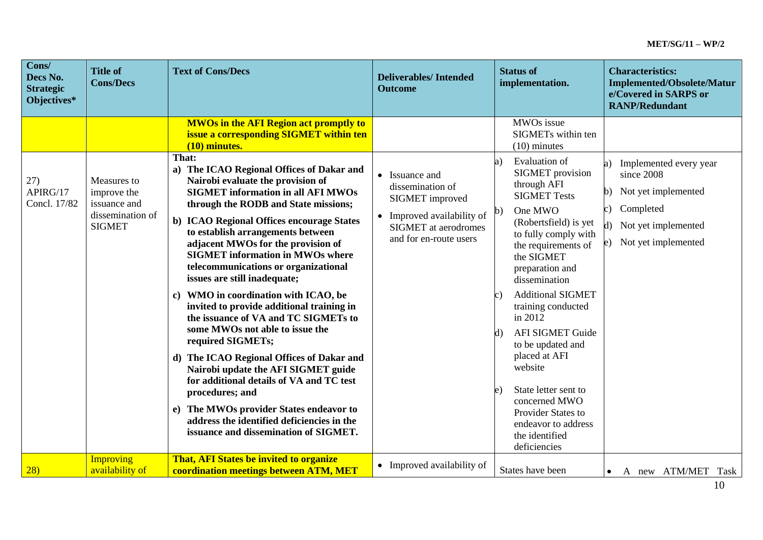| Cons/<br>Decs No.<br><b>Strategic</b><br>Objectives* | <b>Title of</b><br><b>Cons/Decs</b>                                             | <b>Text of Cons/Decs</b>                                                                                                                                                                                                                                                                                                                                                                                                                                                                                                                                                                                                                                                                                                                                                                                                                                                                          | <b>Deliverables/Intended</b><br><b>Outcome</b>                                                                                               | <b>Status of</b><br>implementation.                                                                                                                                                                                                                                                                                                                                                                                                                                                                          | <b>Characteristics:</b><br><b>Implemented/Obsolete/Matur</b><br>e/Covered in SARPS or<br><b>RANP/Redundant</b>                                                      |
|------------------------------------------------------|---------------------------------------------------------------------------------|---------------------------------------------------------------------------------------------------------------------------------------------------------------------------------------------------------------------------------------------------------------------------------------------------------------------------------------------------------------------------------------------------------------------------------------------------------------------------------------------------------------------------------------------------------------------------------------------------------------------------------------------------------------------------------------------------------------------------------------------------------------------------------------------------------------------------------------------------------------------------------------------------|----------------------------------------------------------------------------------------------------------------------------------------------|--------------------------------------------------------------------------------------------------------------------------------------------------------------------------------------------------------------------------------------------------------------------------------------------------------------------------------------------------------------------------------------------------------------------------------------------------------------------------------------------------------------|---------------------------------------------------------------------------------------------------------------------------------------------------------------------|
|                                                      |                                                                                 | <b>MWOs in the AFI Region act promptly to</b><br>issue a corresponding SIGMET within ten<br>(10) minutes.                                                                                                                                                                                                                                                                                                                                                                                                                                                                                                                                                                                                                                                                                                                                                                                         |                                                                                                                                              | MWOs issue<br>SIGMETs within ten<br>$(10)$ minutes                                                                                                                                                                                                                                                                                                                                                                                                                                                           |                                                                                                                                                                     |
| 27)<br>APIRG/17<br>Concl. 17/82                      | Measures to<br>improve the<br>issuance and<br>dissemination of<br><b>SIGMET</b> | That:<br>a) The ICAO Regional Offices of Dakar and<br>Nairobi evaluate the provision of<br><b>SIGMET</b> information in all AFI MWOs<br>through the RODB and State missions;<br>b) ICAO Regional Offices encourage States<br>to establish arrangements between<br>adjacent MWOs for the provision of<br><b>SIGMET</b> information in MWOs where<br>telecommunications or organizational<br>issues are still inadequate;<br>c) WMO in coordination with ICAO, be<br>invited to provide additional training in<br>the issuance of VA and TC SIGMETs to<br>some MWOs not able to issue the<br>required SIGMETs;<br>d) The ICAO Regional Offices of Dakar and<br>Nairobi update the AFI SIGMET guide<br>for additional details of VA and TC test<br>procedures; and<br>e) The MWOs provider States endeavor to<br>address the identified deficiencies in the<br>issuance and dissemination of SIGMET. | • Issuance and<br>dissemination of<br>SIGMET improved<br>• Improved availability of<br><b>SIGMET</b> at aerodromes<br>and for en-route users | Evaluation of<br>a)<br><b>SIGMET</b> provision<br>through AFI<br><b>SIGMET Tests</b><br>One MWO<br>b)<br>(Robertsfield) is yet<br>to fully comply with<br>the requirements of<br>the SIGMET<br>preparation and<br>dissemination<br><b>Additional SIGMET</b><br>c)<br>training conducted<br>in 2012<br><b>AFI SIGMET Guide</b><br>to be updated and<br>placed at AFI<br>website<br>State letter sent to<br>e)<br>concerned MWO<br>Provider States to<br>endeavor to address<br>the identified<br>deficiencies | Implemented every year<br>a)<br>since 2008<br>Not yet implemented<br>$\mathbf{b}$<br>Completed<br>$\mathbf{c})$<br>d) Not yet implemented<br>e) Not yet implemented |
| 28)                                                  | Improving<br>availability of                                                    | <b>That, AFI States be invited to organize</b><br>coordination meetings between ATM, MET                                                                                                                                                                                                                                                                                                                                                                                                                                                                                                                                                                                                                                                                                                                                                                                                          | • Improved availability of                                                                                                                   | States have been                                                                                                                                                                                                                                                                                                                                                                                                                                                                                             | A new ATM/MET<br>Task<br>$\bullet$                                                                                                                                  |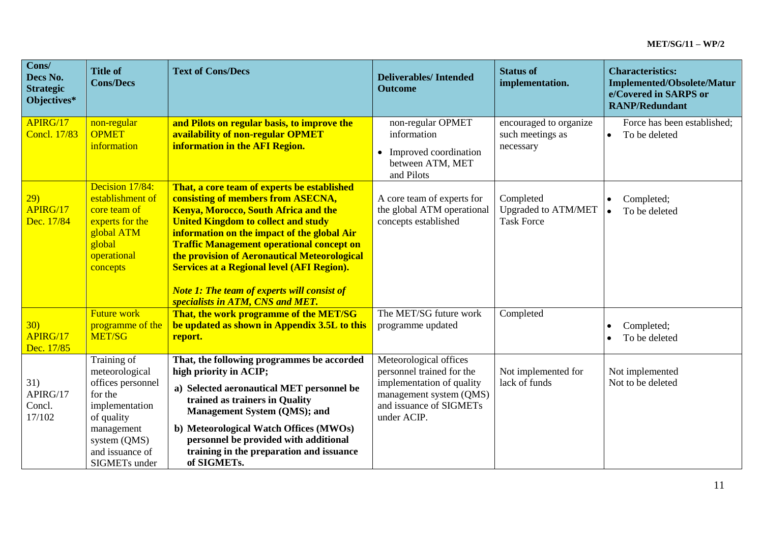| Cons/<br>Decs No.<br><b>Strategic</b><br>Objectives* | <b>Title of</b><br><b>Cons/Decs</b>                                                                                                                             | <b>Text of Cons/Decs</b>                                                                                                                                                                                                                                                                                                                                                                                                                                                         | <b>Deliverables/Intended</b><br><b>Outcome</b>                                                                                                        | <b>Status of</b><br>implementation.                          | <b>Characteristics:</b><br><b>Implemented/Obsolete/Matur</b><br>e/Covered in SARPS or<br><b>RANP/Redundant</b> |
|------------------------------------------------------|-----------------------------------------------------------------------------------------------------------------------------------------------------------------|----------------------------------------------------------------------------------------------------------------------------------------------------------------------------------------------------------------------------------------------------------------------------------------------------------------------------------------------------------------------------------------------------------------------------------------------------------------------------------|-------------------------------------------------------------------------------------------------------------------------------------------------------|--------------------------------------------------------------|----------------------------------------------------------------------------------------------------------------|
| APIRG/17<br><b>Concl. 17/83</b>                      | non-regular<br><b>OPMET</b><br>information                                                                                                                      | and Pilots on regular basis, to improve the<br>availability of non-regular OPMET<br>information in the AFI Region.                                                                                                                                                                                                                                                                                                                                                               | non-regular OPMET<br>information<br>Improved coordination<br>between ATM, MET<br>and Pilots                                                           | encouraged to organize<br>such meetings as<br>necessary      | Force has been established;<br>To be deleted<br>$\bullet$                                                      |
| 29)<br>APIRG/17<br>Dec. 17/84                        | Decision 17/84:<br>establishment of<br>core team of<br>experts for the<br>global ATM<br>global<br>operational<br>concepts                                       | That, a core team of experts be established<br>consisting of members from ASECNA,<br><b>Kenya, Morocco, South Africa and the</b><br><b>United Kingdom to collect and study</b><br>information on the impact of the global Air<br><b>Traffic Management operational concept on</b><br>the provision of Aeronautical Meteorological<br><b>Services at a Regional level (AFI Region).</b><br><b>Note 1: The team of experts will consist of</b><br>specialists in ATM, CNS and MET. | A core team of experts for<br>the global ATM operational<br>concepts established                                                                      | Completed<br><b>Upgraded to ATM/MET</b><br><b>Task Force</b> | Completed;<br>To be deleted<br>$\bullet$                                                                       |
| 30)<br>APIRG/17<br>Dec. 17/85                        | <b>Future work</b><br>programme of the<br>MET/SG                                                                                                                | That, the work programme of the MET/SG<br>be updated as shown in Appendix 3.5L to this<br>report.                                                                                                                                                                                                                                                                                                                                                                                | The MET/SG future work<br>programme updated                                                                                                           | Completed                                                    | Completed;<br>To be deleted                                                                                    |
| 31)<br>APIRG/17<br>Concl.<br>17/102                  | Training of<br>meteorological<br>offices personnel<br>for the<br>implementation<br>of quality<br>management<br>system (QMS)<br>and issuance of<br>SIGMETs under | That, the following programmes be accorded<br>high priority in ACIP;<br>a) Selected aeronautical MET personnel be<br>trained as trainers in Quality<br><b>Management System (QMS); and</b><br>b) Meteorological Watch Offices (MWOs)<br>personnel be provided with additional<br>training in the preparation and issuance<br>of SIGMETs.                                                                                                                                         | Meteorological offices<br>personnel trained for the<br>implementation of quality<br>management system (QMS)<br>and issuance of SIGMETs<br>under ACIP. | Not implemented for<br>lack of funds                         | Not implemented<br>Not to be deleted                                                                           |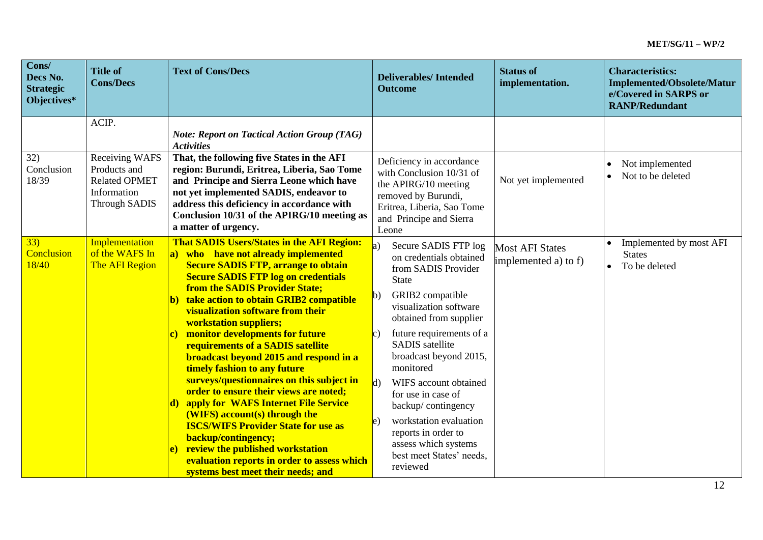| Cons/<br>Decs No.<br><b>Strategic</b><br>Objectives* | <b>Title of</b><br><b>Cons/Decs</b>                                         | <b>Text of Cons/Decs</b>                                                                                                                                                                                                                                                                                                                                                                                                                                                                                                                                                                                                                                                                                                                                                                                                                                           | <b>Deliverables/Intended</b><br><b>Outcome</b>                                                                                                                                                                                                                                                                                                                                                                                                                                                                 | <b>Status of</b><br>implementation.            | <b>Characteristics:</b><br><b>Implemented/Obsolete/Matur</b><br>e/Covered in SARPS or<br><b>RANP/Redundant</b> |
|------------------------------------------------------|-----------------------------------------------------------------------------|--------------------------------------------------------------------------------------------------------------------------------------------------------------------------------------------------------------------------------------------------------------------------------------------------------------------------------------------------------------------------------------------------------------------------------------------------------------------------------------------------------------------------------------------------------------------------------------------------------------------------------------------------------------------------------------------------------------------------------------------------------------------------------------------------------------------------------------------------------------------|----------------------------------------------------------------------------------------------------------------------------------------------------------------------------------------------------------------------------------------------------------------------------------------------------------------------------------------------------------------------------------------------------------------------------------------------------------------------------------------------------------------|------------------------------------------------|----------------------------------------------------------------------------------------------------------------|
| 32)                                                  | ACIP.<br>Receiving WAFS                                                     | <b>Note: Report on Tactical Action Group (TAG)</b><br><b>Activities</b><br>That, the following five States in the AFI                                                                                                                                                                                                                                                                                                                                                                                                                                                                                                                                                                                                                                                                                                                                              |                                                                                                                                                                                                                                                                                                                                                                                                                                                                                                                |                                                |                                                                                                                |
| Conclusion<br>18/39                                  | Products and<br><b>Related OPMET</b><br>Information<br><b>Through SADIS</b> | region: Burundi, Eritrea, Liberia, Sao Tome<br>and Principe and Sierra Leone which have<br>not yet implemented SADIS, endeavor to<br>address this deficiency in accordance with<br>Conclusion 10/31 of the APIRG/10 meeting as<br>a matter of urgency.                                                                                                                                                                                                                                                                                                                                                                                                                                                                                                                                                                                                             | Deficiency in accordance<br>with Conclusion 10/31 of<br>the APIRG/10 meeting<br>removed by Burundi,<br>Eritrea, Liberia, Sao Tome<br>and Principe and Sierra<br>Leone                                                                                                                                                                                                                                                                                                                                          | Not yet implemented                            | Not implemented<br>Not to be deleted                                                                           |
| 33)<br>Conclusion<br>18/40                           | Implementation<br>of the WAFS In<br>The AFI Region                          | <b>That SADIS Users/States in the AFI Region:</b><br>a) who have not already implemented<br><b>Secure SADIS FTP, arrange to obtain</b><br><b>Secure SADIS FTP log on credentials</b><br>from the SADIS Provider State;<br>take action to obtain GRIB2 compatible<br>visualization software from their<br><b>workstation suppliers;</b><br>monitor developments for future<br>c)<br>requirements of a SADIS satellite<br>broadcast beyond 2015 and respond in a<br>timely fashion to any future<br>surveys/questionnaires on this subject in<br>order to ensure their views are noted;<br>apply for WAFS Internet File Service<br>(WIFS) account(s) through the<br><b>ISCS/WIFS Provider State for use as</b><br>backup/contingency;<br>review the published workstation<br>e)<br>evaluation reports in order to assess which<br>systems best meet their needs; and | $\mathbf{a}$<br>Secure SADIS FTP log<br>on credentials obtained<br>from SADIS Provider<br><b>State</b><br>GRIB2 compatible<br>visualization software<br>obtained from supplier<br>future requirements of a<br>$\mathbf{c}$<br><b>SADIS</b> satellite<br>broadcast beyond 2015,<br>monitored<br>$\vert$ d<br>WIFS account obtained<br>for use in case of<br>backup/contingency<br>workstation evaluation<br>$\mathbf{e}$<br>reports in order to<br>assess which systems<br>best meet States' needs,<br>reviewed | <b>Most AFI States</b><br>implemented a) to f) | Implemented by most AFI<br><b>States</b><br>To be deleted                                                      |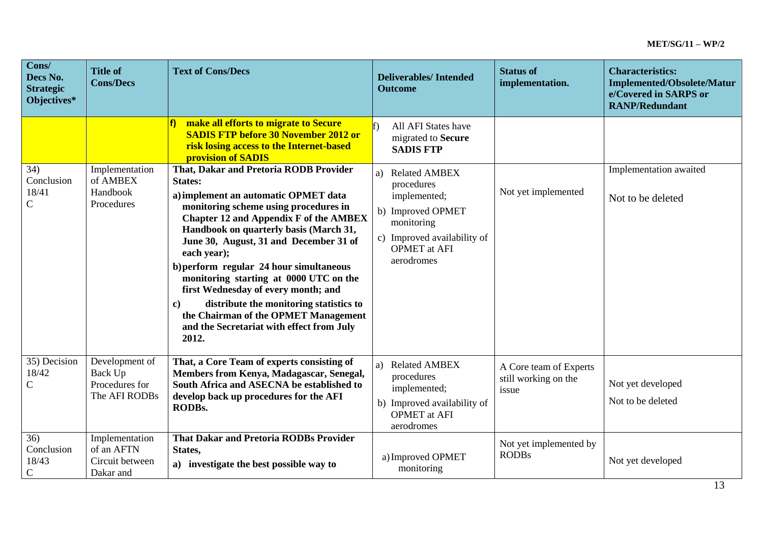| Cons/<br>Decs No.<br><b>Strategic</b><br>Objectives* | <b>Title of</b><br><b>Cons/Decs</b>                          | <b>Text of Cons/Decs</b>                                                                                                                                                                                                                                                                                                                                                                                                                                                                                                                                                       | <b>Deliverables/Intended</b><br><b>Outcome</b>                                                                                                        | <b>Status of</b><br>implementation.                     | <b>Characteristics:</b><br><b>Implemented/Obsolete/Matur</b><br>e/Covered in SARPS or<br><b>RANP/Redundant</b> |
|------------------------------------------------------|--------------------------------------------------------------|--------------------------------------------------------------------------------------------------------------------------------------------------------------------------------------------------------------------------------------------------------------------------------------------------------------------------------------------------------------------------------------------------------------------------------------------------------------------------------------------------------------------------------------------------------------------------------|-------------------------------------------------------------------------------------------------------------------------------------------------------|---------------------------------------------------------|----------------------------------------------------------------------------------------------------------------|
|                                                      |                                                              | make all efforts to migrate to Secure<br><b>SADIS FTP before 30 November 2012 or</b><br>risk losing access to the Internet-based<br>provision of SADIS                                                                                                                                                                                                                                                                                                                                                                                                                         | All AFI States have<br>migrated to Secure<br><b>SADIS FTP</b>                                                                                         |                                                         |                                                                                                                |
| 34)<br>Conclusion<br>18/41<br>$\mathbf C$            | Implementation<br>of AMBEX<br>Handbook<br>Procedures         | That, Dakar and Pretoria RODB Provider<br><b>States:</b><br>a) implement an automatic OPMET data<br>monitoring scheme using procedures in<br><b>Chapter 12 and Appendix F of the AMBEX</b><br>Handbook on quarterly basis (March 31,<br>June 30, August, 31 and December 31 of<br>each year);<br>b) perform regular 24 hour simultaneous<br>monitoring starting at 0000 UTC on the<br>first Wednesday of every month; and<br>distribute the monitoring statistics to<br>$\bf c)$<br>the Chairman of the OPMET Management<br>and the Secretariat with effect from July<br>2012. | a) Related AMBEX<br>procedures<br>implemented;<br>b) Improved OPMET<br>monitoring<br>c) Improved availability of<br><b>OPMET</b> at AFI<br>aerodromes | Not yet implemented                                     | Implementation awaited<br>Not to be deleted                                                                    |
| 35) Decision<br>18/42<br>$\mathsf{C}$                | Development of<br>Back Up<br>Procedures for<br>The AFI RODBs | That, a Core Team of experts consisting of<br>Members from Kenya, Madagascar, Senegal,<br>South Africa and ASECNA be established to<br>develop back up procedures for the AFI<br>RODBs.                                                                                                                                                                                                                                                                                                                                                                                        | a) Related AMBEX<br>procedures<br>implemented;<br>b) Improved availability of<br><b>OPMET</b> at AFI<br>aerodromes                                    | A Core team of Experts<br>still working on the<br>issue | Not yet developed<br>Not to be deleted                                                                         |
| 36)<br>Conclusion<br>18/43<br>$\mathsf{C}$           | Implementation<br>of an AFTN<br>Circuit between<br>Dakar and | <b>That Dakar and Pretoria RODBs Provider</b><br>States,<br>a) investigate the best possible way to                                                                                                                                                                                                                                                                                                                                                                                                                                                                            | a) Improved OPMET<br>monitoring                                                                                                                       | Not yet implemented by<br><b>RODBs</b>                  | Not yet developed                                                                                              |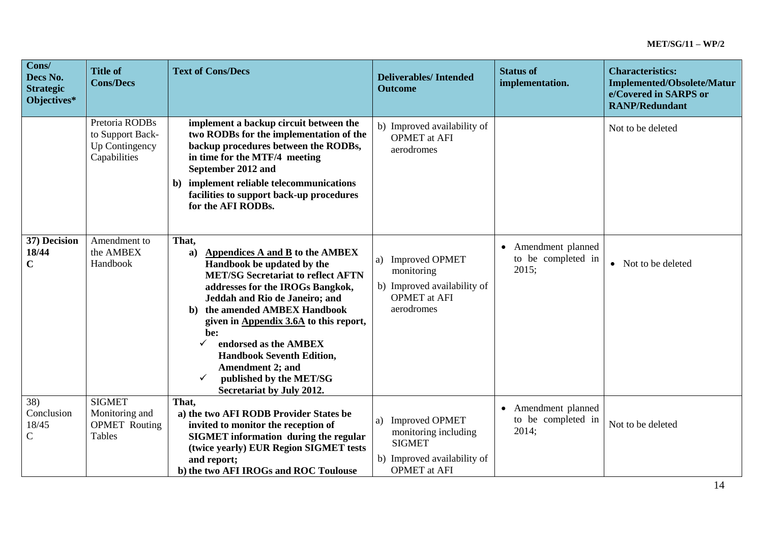| Cons/<br>Decs No.<br><b>Strategic</b><br>Objectives* | <b>Title of</b><br><b>Cons/Decs</b>                                      | <b>Text of Cons/Decs</b>                                                                                                                                                                                                                                                                                                                                                                                                                                         | <b>Deliverables/Intended</b><br><b>Outcome</b>                                                                             | <b>Status of</b><br>implementation.                | <b>Characteristics:</b><br><b>Implemented/Obsolete/Matur</b><br>e/Covered in SARPS or<br><b>RANP/Redundant</b> |
|------------------------------------------------------|--------------------------------------------------------------------------|------------------------------------------------------------------------------------------------------------------------------------------------------------------------------------------------------------------------------------------------------------------------------------------------------------------------------------------------------------------------------------------------------------------------------------------------------------------|----------------------------------------------------------------------------------------------------------------------------|----------------------------------------------------|----------------------------------------------------------------------------------------------------------------|
|                                                      | Pretoria RODBs<br>to Support Back-<br>Up Contingency<br>Capabilities     | implement a backup circuit between the<br>two RODBs for the implementation of the<br>backup procedures between the RODBs,<br>in time for the MTF/4 meeting<br>September 2012 and<br>b) implement reliable telecommunications<br>facilities to support back-up procedures<br>for the AFI RODBs.                                                                                                                                                                   | b) Improved availability of<br><b>OPMET</b> at AFI<br>aerodromes                                                           |                                                    | Not to be deleted                                                                                              |
| 37) Decision<br>18/44<br>$\mathbf C$                 | Amendment to<br>the AMBEX<br>Handbook                                    | That,<br>Appendices A and B to the AMBEX<br>a)<br>Handbook be updated by the<br><b>MET/SG Secretariat to reflect AFTN</b><br>addresses for the IROGs Bangkok,<br>Jeddah and Rio de Janeiro; and<br>the amended AMBEX Handbook<br>b)<br>given in Appendix 3.6A to this report,<br>be:<br>endorsed as the AMBEX<br>$\checkmark$<br><b>Handbook Seventh Edition,</b><br><b>Amendment 2; and</b><br>published by the MET/SG<br>✓<br><b>Secretariat by July 2012.</b> | <b>Improved OPMET</b><br>a)<br>monitoring<br>b) Improved availability of<br><b>OPMET</b> at AFI<br>aerodromes              | • Amendment planned<br>to be completed in<br>2015; | Not to be deleted<br>$\bullet$                                                                                 |
| 38)<br>Conclusion<br>18/45<br>$\mathsf{C}$           | <b>SIGMET</b><br>Monitoring and<br><b>OPMET</b> Routing<br><b>Tables</b> | That,<br>a) the two AFI RODB Provider States be<br>invited to monitor the reception of<br><b>SIGMET</b> information during the regular<br>(twice yearly) EUR Region SIGMET tests<br>and report;<br>b) the two AFI IROGs and ROC Toulouse                                                                                                                                                                                                                         | <b>Improved OPMET</b><br>a)<br>monitoring including<br><b>SIGMET</b><br>b) Improved availability of<br><b>OPMET</b> at AFI | • Amendment planned<br>to be completed in<br>2014; | Not to be deleted                                                                                              |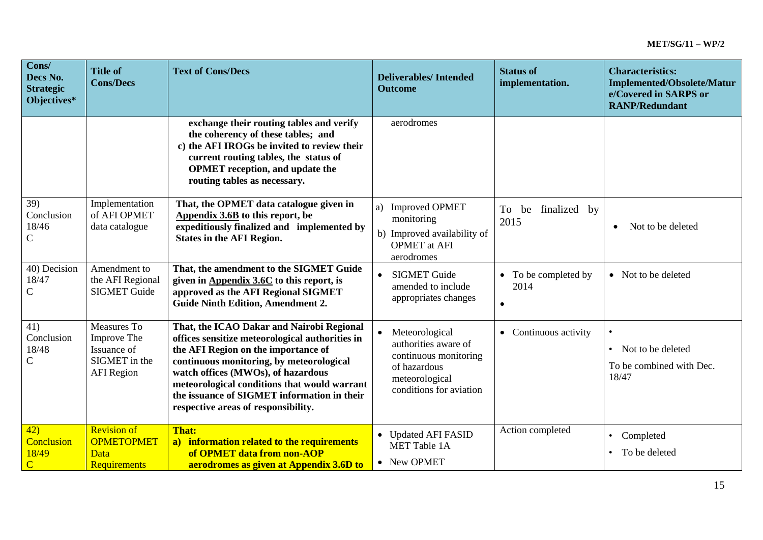| Cons/<br>Decs No.<br><b>Strategic</b><br>Objectives* | <b>Title of</b><br><b>Cons/Decs</b>                                             | <b>Text of Cons/Decs</b>                                                                                                                                                                                                                                                                                                                                    | <b>Deliverables/Intended</b><br><b>Outcome</b>                                                                               | <b>Status of</b><br>implementation.     | <b>Characteristics:</b><br><b>Implemented/Obsolete/Matur</b><br>e/Covered in SARPS or<br><b>RANP/Redundant</b> |
|------------------------------------------------------|---------------------------------------------------------------------------------|-------------------------------------------------------------------------------------------------------------------------------------------------------------------------------------------------------------------------------------------------------------------------------------------------------------------------------------------------------------|------------------------------------------------------------------------------------------------------------------------------|-----------------------------------------|----------------------------------------------------------------------------------------------------------------|
|                                                      |                                                                                 | exchange their routing tables and verify<br>the coherency of these tables; and<br>c) the AFI IROGs be invited to review their<br>current routing tables, the status of<br><b>OPMET</b> reception, and update the<br>routing tables as necessary.                                                                                                            | aerodromes                                                                                                                   |                                         |                                                                                                                |
| 39)<br>Conclusion<br>18/46<br>$\mathsf{C}$           | Implementation<br>of AFI OPMET<br>data catalogue                                | That, the OPMET data catalogue given in<br>Appendix 3.6B to this report, be<br>expeditiously finalized and implemented by<br><b>States in the AFI Region.</b>                                                                                                                                                                                               | <b>Improved OPMET</b><br>a)<br>monitoring<br>b) Improved availability of<br><b>OPMET</b> at AFI<br>aerodromes                | To<br>finalized by<br>be<br>2015        | Not to be deleted<br>$\bullet$                                                                                 |
| 40) Decision<br>18/47<br>$\mathcal{C}$               | Amendment to<br>the AFI Regional<br><b>SIGMET Guide</b>                         | That, the amendment to the SIGMET Guide<br>given in Appendix 3.6C to this report, is<br>approved as the AFI Regional SIGMET<br><b>Guide Ninth Edition, Amendment 2.</b>                                                                                                                                                                                     | <b>SIGMET Guide</b><br>amended to include<br>appropriates changes                                                            | To be completed by<br>2014<br>$\bullet$ | • Not to be deleted                                                                                            |
| 41)<br>Conclusion<br>18/48<br>$\mathcal{C}$          | Measures To<br>Improve The<br>Issuance of<br>SIGMET in the<br><b>AFI</b> Region | That, the ICAO Dakar and Nairobi Regional<br>offices sensitize meteorological authorities in<br>the AFI Region on the importance of<br>continuous monitoring, by meteorological<br>watch offices (MWOs), of hazardous<br>meteorological conditions that would warrant<br>the issuance of SIGMET information in their<br>respective areas of responsibility. | Meteorological<br>authorities aware of<br>continuous monitoring<br>of hazardous<br>meteorological<br>conditions for aviation | • Continuous activity                   | $\bullet$<br>Not to be deleted<br>$\bullet$<br>To be combined with Dec.<br>18/47                               |
| 42)<br>Conclusion<br>18/49<br>$\overline{C}$         | <b>Revision of</b><br><b>OPMETOPMET</b><br>Data<br><b>Requirements</b>          | <b>That:</b><br>a) information related to the requirements<br>of OPMET data from non-AOP<br>aerodromes as given at Appendix 3.6D to                                                                                                                                                                                                                         | • Updated AFI FASID<br><b>MET Table 1A</b><br>• New OPMET                                                                    | Action completed                        | Completed<br>$\bullet$<br>To be deleted                                                                        |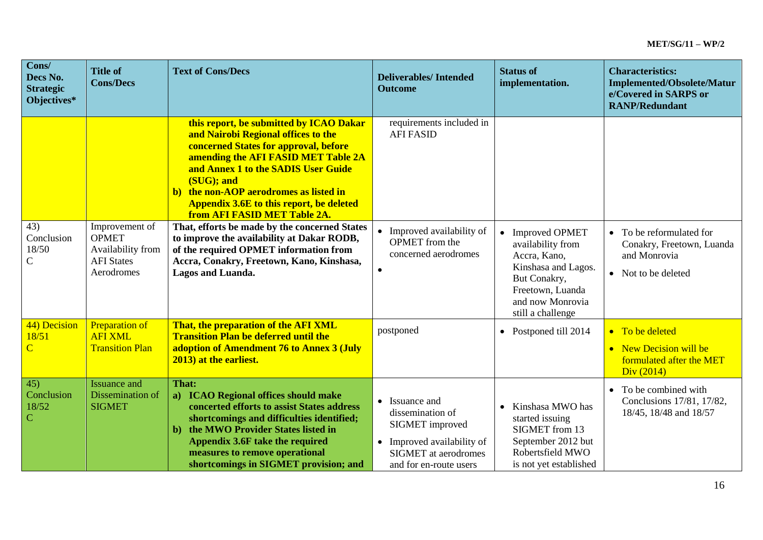| Cons/<br>Decs No.<br><b>Strategic</b><br>Objectives* | <b>Title of</b><br><b>Cons/Decs</b>                                                    | <b>Text of Cons/Decs</b>                                                                                                                                                                                                                                                                                                                         | <b>Deliverables/Intended</b><br><b>Outcome</b>                                                                                        | <b>Status of</b><br>implementation.                                                                                                                       | <b>Characteristics:</b><br><b>Implemented/Obsolete/Matur</b><br>e/Covered in SARPS or<br><b>RANP/Redundant</b>     |
|------------------------------------------------------|----------------------------------------------------------------------------------------|--------------------------------------------------------------------------------------------------------------------------------------------------------------------------------------------------------------------------------------------------------------------------------------------------------------------------------------------------|---------------------------------------------------------------------------------------------------------------------------------------|-----------------------------------------------------------------------------------------------------------------------------------------------------------|--------------------------------------------------------------------------------------------------------------------|
|                                                      |                                                                                        | this report, be submitted by ICAO Dakar<br>and Nairobi Regional offices to the<br>concerned States for approval, before<br>amending the AFI FASID MET Table 2A<br>and Annex 1 to the SADIS User Guide<br>(SUG); and<br>b) the non-AOP aerodromes as listed in<br><b>Appendix 3.6E to this report, be deleted</b><br>from AFI FASID MET Table 2A. | requirements included in<br><b>AFI FASID</b>                                                                                          |                                                                                                                                                           |                                                                                                                    |
| 43)<br>Conclusion<br>18/50<br>$\mathsf{C}$           | Improvement of<br><b>OPMET</b><br>Availability from<br><b>AFI</b> States<br>Aerodromes | That, efforts be made by the concerned States<br>to improve the availability at Dakar RODB,<br>of the required OPMET information from<br>Accra, Conakry, Freetown, Kano, Kinshasa,<br>Lagos and Luanda.                                                                                                                                          | • Improved availability of<br><b>OPMET</b> from the<br>concerned aerodromes                                                           | • Improved OPMET<br>availability from<br>Accra, Kano,<br>Kinshasa and Lagos.<br>But Conakry,<br>Freetown, Luanda<br>and now Monrovia<br>still a challenge | To be reformulated for<br>$\bullet$<br>Conakry, Freetown, Luanda<br>and Monrovia<br>Not to be deleted<br>$\bullet$ |
| 44) Decision<br>18/51<br>$\overline{C}$              | <b>Preparation of</b><br><b>AFI XML</b><br><b>Transition Plan</b>                      | That, the preparation of the AFI XML<br><b>Transition Plan be deferred until the</b><br>adoption of Amendment 76 to Annex 3 (July<br>2013) at the earliest.                                                                                                                                                                                      | postponed                                                                                                                             | • Postponed till 2014                                                                                                                                     | • To be deleted<br>• New Decision will be<br>formulated after the MET<br>Div (2014)                                |
| 45)<br>Conclusion<br>18/52<br>$\mathbf C$            | <b>Issuance and</b><br>Dissemination of<br><b>SIGMET</b>                               | That:<br>a) ICAO Regional offices should make<br>concerted efforts to assist States address<br>shortcomings and difficulties identified;<br>the MWO Provider States listed in<br>b)<br>Appendix 3.6F take the required<br>measures to remove operational<br>shortcomings in SIGMET provision; and                                                | • Issuance and<br>dissemination of<br>SIGMET improved<br>• Improved availability of<br>SIGMET at aerodromes<br>and for en-route users | Kinshasa MWO has<br>started issuing<br>SIGMET from 13<br>September 2012 but<br>Robertsfield MWO<br>is not yet established                                 | To be combined with<br>$\bullet$<br>Conclusions 17/81, 17/82,<br>18/45, 18/48 and 18/57                            |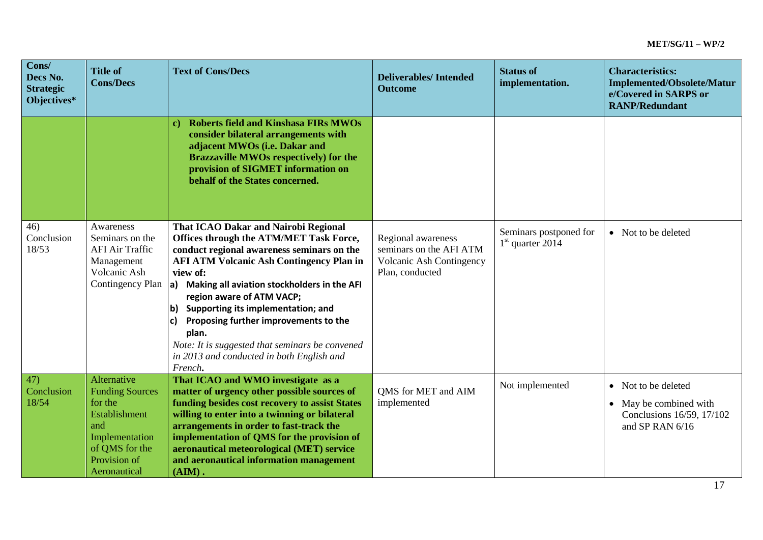| Cons/<br>Decs No.<br><b>Strategic</b><br>Objectives* | <b>Title of</b><br><b>Cons/Decs</b>                                                                                                          | <b>Text of Cons/Decs</b>                                                                                                                                                                                                                                                                                                                                                                                                                                                                          | <b>Deliverables/Intended</b><br><b>Outcome</b>                                                      | <b>Status of</b><br>implementation.          | <b>Characteristics:</b><br><b>Implemented/Obsolete/Matur</b><br>e/Covered in SARPS or<br><b>RANP/Redundant</b> |
|------------------------------------------------------|----------------------------------------------------------------------------------------------------------------------------------------------|---------------------------------------------------------------------------------------------------------------------------------------------------------------------------------------------------------------------------------------------------------------------------------------------------------------------------------------------------------------------------------------------------------------------------------------------------------------------------------------------------|-----------------------------------------------------------------------------------------------------|----------------------------------------------|----------------------------------------------------------------------------------------------------------------|
|                                                      |                                                                                                                                              | <b>Roberts field and Kinshasa FIRs MWOs</b><br>$\mathbf{c}$<br>consider bilateral arrangements with<br>adjacent MWOs (i.e. Dakar and<br><b>Brazzaville MWOs respectively) for the</b><br>provision of SIGMET information on<br>behalf of the States concerned.                                                                                                                                                                                                                                    |                                                                                                     |                                              |                                                                                                                |
| 46)<br>Conclusion<br>18/53                           | Awareness<br>Seminars on the<br><b>AFI Air Traffic</b><br>Management<br>Volcanic Ash<br>Contingency Plan                                     | <b>That ICAO Dakar and Nairobi Regional</b><br>Offices through the ATM/MET Task Force,<br>conduct regional awareness seminars on the<br><b>AFI ATM Volcanic Ash Contingency Plan in</b><br>view of:<br>$ a $ Making all aviation stockholders in the AFI<br>region aware of ATM VACP;<br>b) Supporting its implementation; and<br>Proposing further improvements to the<br>C)<br>plan.<br>Note: It is suggested that seminars be convened<br>in 2013 and conducted in both English and<br>French. | Regional awareness<br>seminars on the AFI ATM<br><b>Volcanic Ash Contingency</b><br>Plan, conducted | Seminars postponed for<br>$1st$ quarter 2014 | • Not to be deleted                                                                                            |
| 47)<br>Conclusion<br>18/54                           | Alternative<br><b>Funding Sources</b><br>for the<br>Establishment<br>and<br>Implementation<br>of QMS for the<br>Provision of<br>Aeronautical | That ICAO and WMO investigate as a<br>matter of urgency other possible sources of<br>funding besides cost recovery to assist States<br>willing to enter into a twinning or bilateral<br>arrangements in order to fast-track the<br>implementation of QMS for the provision of<br>aeronautical meteorological (MET) service<br>and aeronautical information management<br>$(AIM)$ .                                                                                                                | <b>QMS</b> for MET and AIM<br>implemented                                                           | Not implemented                              | • Not to be deleted<br>• May be combined with<br>Conclusions 16/59, 17/102<br>and SP RAN 6/16                  |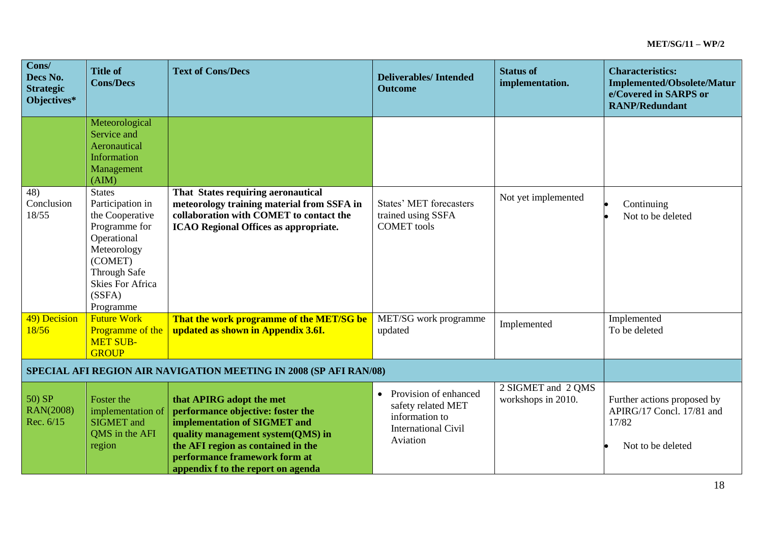| Cons/<br>Decs No.<br><b>Strategic</b><br>Objectives*              | <b>Title of</b><br><b>Cons/Decs</b>                                                                                                                                                     | <b>Text of Cons/Decs</b>                                                                                                                                                                                                                        | <b>Deliverables/Intended</b><br><b>Outcome</b>                                                                       | <b>Status of</b><br>implementation.      | <b>Characteristics:</b><br><b>Implemented/Obsolete/Matur</b><br>e/Covered in SARPS or<br><b>RANP/Redundant</b> |
|-------------------------------------------------------------------|-----------------------------------------------------------------------------------------------------------------------------------------------------------------------------------------|-------------------------------------------------------------------------------------------------------------------------------------------------------------------------------------------------------------------------------------------------|----------------------------------------------------------------------------------------------------------------------|------------------------------------------|----------------------------------------------------------------------------------------------------------------|
|                                                                   | Meteorological<br>Service and<br>Aeronautical<br>Information<br>Management<br>(AIM)                                                                                                     |                                                                                                                                                                                                                                                 |                                                                                                                      |                                          |                                                                                                                |
| 48)<br>Conclusion<br>18/55                                        | <b>States</b><br>Participation in<br>the Cooperative<br>Programme for<br>Operational<br>Meteorology<br>(COMET)<br><b>Through Safe</b><br><b>Skies For Africa</b><br>(SSFA)<br>Programme | That States requiring aeronautical<br>meteorology training material from SSFA in<br>collaboration with COMET to contact the<br><b>ICAO Regional Offices as appropriate.</b>                                                                     | <b>States' MET forecasters</b><br>trained using SSFA<br><b>COMET</b> tools                                           | Not yet implemented                      | Continuing<br>Not to be deleted                                                                                |
| 49) Decision<br>18/56                                             | <b>Future Work</b><br>Programme of the<br><b>MET SUB-</b><br><b>GROUP</b>                                                                                                               | That the work programme of the MET/SG be<br>updated as shown in Appendix 3.6I.                                                                                                                                                                  | MET/SG work programme<br>updated                                                                                     | Implemented                              | Implemented<br>To be deleted                                                                                   |
| SPECIAL AFI REGION AIR NAVIGATION MEETING IN 2008 (SP AFI RAN/08) |                                                                                                                                                                                         |                                                                                                                                                                                                                                                 |                                                                                                                      |                                          |                                                                                                                |
| 50) SP<br><b>RAN(2008)</b><br>Rec. 6/15                           | Foster the<br>implementation of<br><b>SIGMET</b> and<br>QMS in the AFI<br>region                                                                                                        | that APIRG adopt the met<br>performance objective: foster the<br>implementation of SIGMET and<br>quality management system(QMS) in<br>the AFI region as contained in the<br>performance framework form at<br>appendix f to the report on agenda | Provision of enhanced<br>$\bullet$<br>safety related MET<br>information to<br><b>International Civil</b><br>Aviation | 2 SIGMET and 2 QMS<br>workshops in 2010. | Further actions proposed by<br>APIRG/17 Concl. 17/81 and<br>17/82<br>Not to be deleted                         |